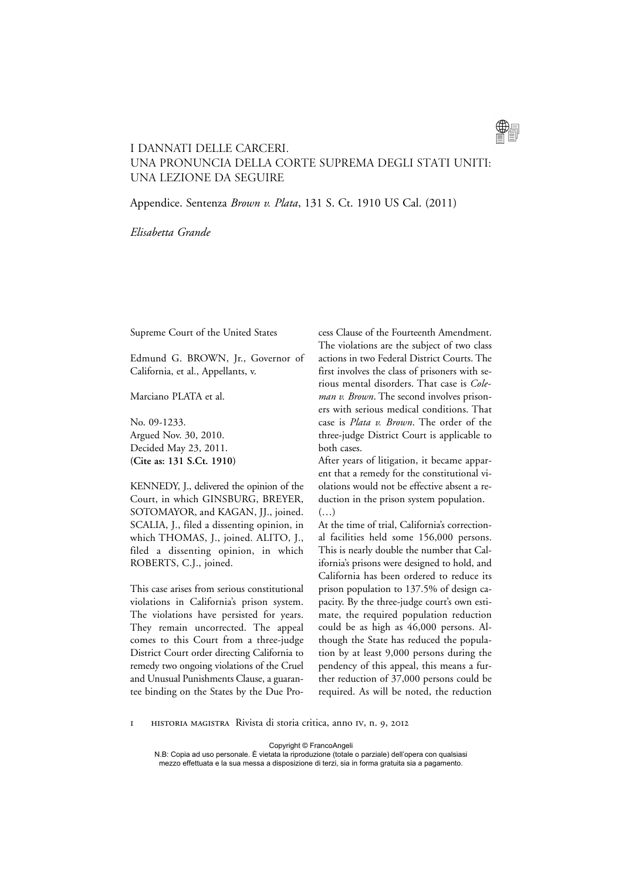

# I DANNATI DELLE CARCERI. Una pronuncia della Corte Suprema degli Stati Uniti: una lezione da seguire

Appendice. Sentenza *Brown v. Plata*, 131 S. Ct. 1910 US Cal. (2011)

*Elisabetta Grande*

Supreme Court of the United States

Edmund G. BROWN, Jr., Governor of California, et al., Appellants, v.

Marciano PLATA et al.

No. 09-1233. Argued Nov. 30, 2010. Decided May 23, 2011. **(Cite as: 131 S.Ct. 1910)**

KENNEDY, J., delivered the opinion of the Court, in which GINSBURG, BREYER, SOTOMAYOR, and KAGAN, JJ., joined. SCALIA, J., filed a dissenting opinion, in which THOMAS, J., joined. ALITO, J., filed a dissenting opinion, in which ROBERTS, C.J., joined.

This case arises from serious constitutional violations in California's prison system. The violations have persisted for years. They remain uncorrected. The appeal comes to this Court from a three-judge District Court order directing California to remedy two ongoing violations of the Cruel and Unusual Punishments Clause, a guarantee binding on the States by the Due Process Clause of the Fourteenth Amendment. The violations are the subject of two class actions in two Federal District Courts. The first involves the class of prisoners with serious mental disorders. That case is *Coleman v. Brown*. The second involves prisoners with serious medical conditions. That case is *Plata v. Brown*. The order of the three-judge District Court is applicable to both cases.

After years of litigation, it became apparent that a remedy for the constitutional violations would not be effective absent a reduction in the prison system population.  $(\ldots)$ 

At the time of trial, California's correctional facilities held some 156,000 persons. This is nearly double the number that California's prisons were designed to hold, and California has been ordered to reduce its prison population to 137.5% of design capacity. By the three-judge court's own estimate, the required population reduction could be as high as 46,000 persons. Although the State has reduced the population by at least 9,000 persons during the pendency of this appeal, this means a further reduction of 37,000 persons could be required. As will be noted, the reduction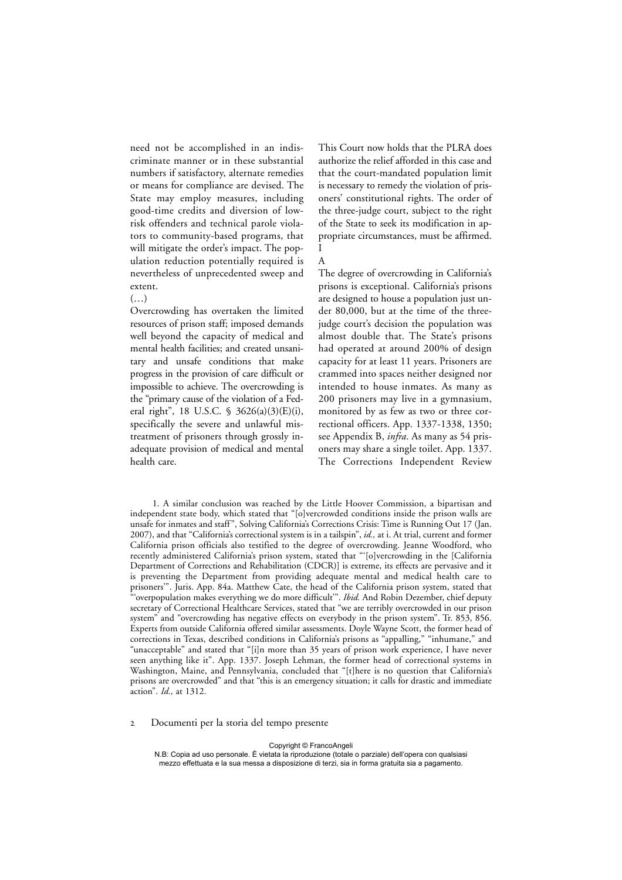need not be accomplished in an indiscriminate manner or in these substantial numbers if satisfactory, alternate remedies or means for compliance are devised. The State may employ measures, including good-time credits and diversion of lowrisk offenders and technical parole violators to community-based programs, that will mitigate the order's impact. The population reduction potentially required is nevertheless of unprecedented sweep and extent.

## $(\ldots)$

Overcrowding has overtaken the limited resources of prison staff; imposed demands well beyond the capacity of medical and mental health facilities; and created unsanitary and unsafe conditions that make progress in the provision of care difficult or impossible to achieve. The overcrowding is the "primary cause of the violation of a Federal right", 18 U.S.C. § 3626(a)(3)(E)(i), specifically the severe and unlawful mistreatment of prisoners through grossly inadequate provision of medical and mental health care.

This Court now holds that the PLRA does authorize the relief afforded in this case and that the court-mandated population limit is necessary to remedy the violation of prisoners' constitutional rights. The order of the three-judge court, subject to the right of the State to seek its modification in appropriate circumstances, must be affirmed. I

# A

The degree of overcrowding in California's prisons is exceptional. California's prisons are designed to house a population just under 80,000, but at the time of the threejudge court's decision the population was almost double that. The State's prisons had operated at around 200% of design capacity for at least 11 years. Prisoners are crammed into spaces neither designed nor intended to house inmates. As many as 200 prisoners may live in a gymnasium, monitored by as few as two or three correctional officers. App. 1337-1338, 1350; see Appendix B, *infra*. As many as 54 prisoners may share a single toilet. App. 1337. The Corrections Independent Review

1. A similar conclusion was reached by the Little Hoover Commission, a bipartisan and independent state body, which stated that "[o]vercrowded conditions inside the prison walls are unsafe for inmates and staff", Solving California's Corrections Crisis: Time is Running Out 17 (Jan. 2007), and that "California's correctional system is in a tailspin", *id.,* at i. At trial, current and former California prison officials also testified to the degree of overcrowding. Jeanne Woodford, who recently administered California's prison system, stated that "'[o]vercrowding in the [California Department of Corrections and Rehabilitation (CDCR)] is extreme, its effects are pervasive and it is preventing the Department from providing adequate mental and medical health care to prisoners'". Juris. App. 84a. Matthew Cate, the head of the California prison system, stated that "'overpopulation makes everything we do more difficult'". *Ibid.* And Robin Dezember, chief deputy secretary of Correctional Healthcare Services, stated that "we are terribly overcrowded in our prison system" and "overcrowding has negative effects on everybody in the prison system". Tr. 853, 856. Experts from outside California offered similar assessments. Doyle Wayne Scott, the former head of corrections in Texas, described conditions in California's prisons as "appalling," "inhumane," and "unacceptable" and stated that "[i]n more than 35 years of prison work experience, I have never seen anything like it". App. 1337. Joseph Lehman, the former head of correctional systems in Washington, Maine, and Pennsylvania, concluded that "[t]here is no question that California's prisons are overcrowded" and that "this is an emergency situation; it calls for drastic and immediate action". *Id.,* at 1312.

2 Documenti per la storia del tempo presente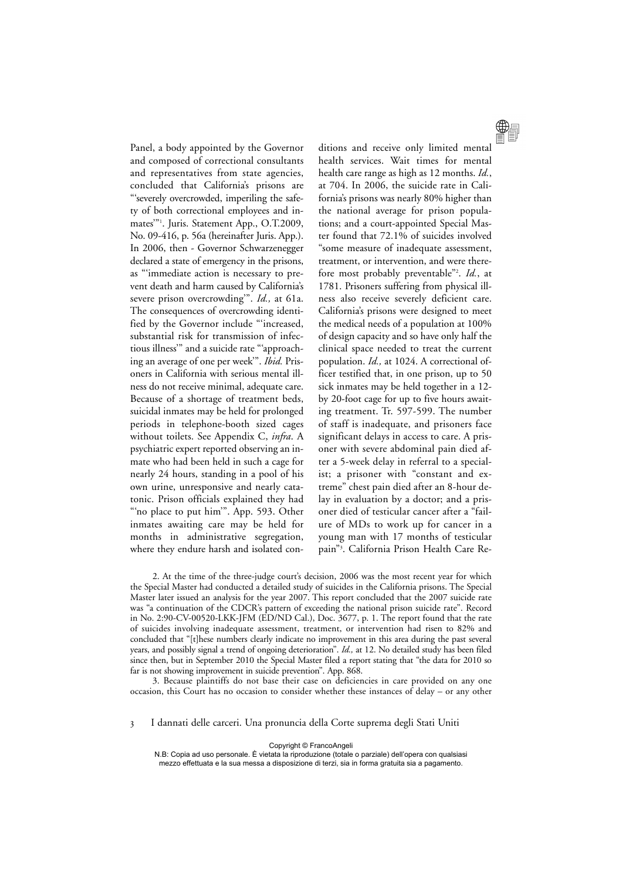Panel, a body appointed by the Governor and composed of correctional consultants and representatives from state agencies, concluded that California's prisons are "'severely overcrowded, imperiling the safety of both correctional employees and inmates'"1 . Juris. Statement App., O.T.2009, No. 09-416, p. 56a (hereinafter Juris. App.). In 2006, then - Governor Schwarzenegger declared a state of emergency in the prisons, as "'immediate action is necessary to prevent death and harm caused by California's severe prison overcrowding'". *Id.,* at 61a. The consequences of overcrowding identified by the Governor include "'increased, substantial risk for transmission of infectious illness'" and a suicide rate "'approaching an average of one per week'". *Ibid.* Prisoners in California with serious mental illness do not receive minimal, adequate care. Because of a shortage of treatment beds, suicidal inmates may be held for prolonged periods in telephone-booth sized cages without toilets. See Appendix C, *infra*. A psychiatric expert reported observing an inmate who had been held in such a cage for nearly 24 hours, standing in a pool of his own urine, unresponsive and nearly catatonic. Prison officials explained they had "no place to put him". App. 593. Other inmates awaiting care may be held for months in administrative segregation, where they endure harsh and isolated con-



ditions and receive only limited mental health services. Wait times for mental health care range as high as 12 months. *Id.*, at 704. In 2006, the suicide rate in California's prisons was nearly 80% higher than the national average for prison populations; and a court-appointed Special Master found that 72.1% of suicides involved "some measure of inadequate assessment, treatment, or intervention, and were therefore most probably preventable"2 . *Id.*, at 1781. Prisoners suffering from physical illness also receive severely deficient care. California's prisons were designed to meet the medical needs of a population at 100% of design capacity and so have only half the clinical space needed to treat the current population. *Id.,* at 1024. A correctional officer testified that, in one prison, up to 50 sick inmates may be held together in a 12 by 20-foot cage for up to five hours awaiting treatment. Tr. 597-599. The number of staff is inadequate, and prisoners face significant delays in access to care. A prisoner with severe abdominal pain died after a 5-week delay in referral to a specialist; a prisoner with "constant and extreme" chest pain died after an 8-hour delay in evaluation by a doctor; and a prisoner died of testicular cancer after a "failure of MDs to work up for cancer in a young man with 17 months of testicular pain"3 . California Prison Health Care Re-

2. At the time of the three-judge court's decision, 2006 was the most recent year for which the Special Master had conducted a detailed study of suicides in the California prisons. The Special Master later issued an analysis for the year 2007. This report concluded that the 2007 suicide rate was "a continuation of the CDCR's pattern of exceeding the national prison suicide rate". Record in No. 2:90-CV-00520-LKK-JFM (ED/ND Cal.), Doc. 3677, p. 1. The report found that the rate of suicides involving inadequate assessment, treatment, or intervention had risen to 82% and concluded that "[t]hese numbers clearly indicate no improvement in this area during the past several years, and possibly signal a trend of ongoing deterioration". *Id.,* at 12. No detailed study has been filed since then, but in September 2010 the Special Master filed a report stating that "the data for 2010 so far is not showing improvement in suicide prevention". App. 868.

3. Because plaintiffs do not base their case on deficiencies in care provided on any one occasion, this Court has no occasion to consider whether these instances of delay – or any other

3 I dannati delle carceri. Una pronuncia della Corte suprema degli Stati Uniti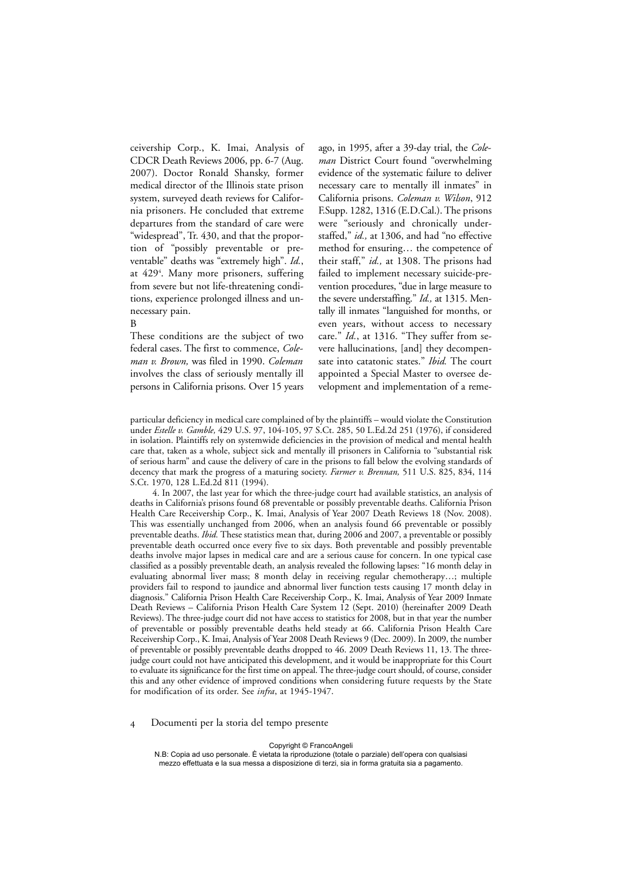ceivership Corp., K. Imai, Analysis of CDCR Death Reviews 2006, pp. 6-7 (Aug. 2007). Doctor Ronald Shansky, former medical director of the Illinois state prison system, surveyed death reviews for California prisoners. He concluded that extreme departures from the standard of care were "widespread", Tr. 430, and that the proportion of "possibly preventable or preventable" deaths was "extremely high". *Id.*, at 4294 . Many more prisoners, suffering from severe but not life-threatening conditions, experience prolonged illness and unnecessary pain.

#### B

These conditions are the subject of two federal cases. The first to commence, *Coleman v. Brown,* was filed in 1990. *Coleman* involves the class of seriously mentally ill persons in California prisons. Over 15 years ago, in 1995, after a 39-day trial, the *Coleman* District Court found "overwhelming evidence of the systematic failure to deliver necessary care to mentally ill inmates" in California prisons. *Coleman v. Wilson*, 912 F.Supp. 1282, 1316 (E.D.Cal.). The prisons were "seriously and chronically understaffed," *id.,* at 1306, and had "no effective method for ensuring… the competence of their staff," *id.,* at 1308. The prisons had failed to implement necessary suicide-prevention procedures, "due in large measure to the severe understaffing." *Id.,* at 1315. Mentally ill inmates "languished for months, or even years, without access to necessary care." *Id.*, at 1316. "They suffer from severe hallucinations, [and] they decompensate into catatonic states." *Ibid.* The court appointed a Special Master to oversee development and implementation of a reme-

particular deficiency in medical care complained of by the plaintiffs – would violate the Constitution under *Estelle v. Gamble,* 429 U.S. 97, 104-105, 97 S.Ct. 285, 50 L.Ed.2d 251 (1976), if considered in isolation. Plaintiffs rely on systemwide deficiencies in the provision of medical and mental health care that, taken as a whole, subject sick and mentally ill prisoners in California to "substantial risk of serious harm" and cause the delivery of care in the prisons to fall below the evolving standards of decency that mark the progress of a maturing society. *Farmer v. Brennan,* 511 U.S. 825, 834, 114 S.Ct. 1970, 128 L.Ed.2d 811 (1994).

4. In 2007, the last year for which the three-judge court had available statistics, an analysis of deaths in California's prisons found 68 preventable or possibly preventable deaths. California Prison Health Care Receivership Corp., K. Imai, Analysis of Year 2007 Death Reviews 18 (Nov. 2008). This was essentially unchanged from 2006, when an analysis found 66 preventable or possibly preventable deaths. *Ibid.* These statistics mean that, during 2006 and 2007, a preventable or possibly preventable death occurred once every five to six days. Both preventable and possibly preventable deaths involve major lapses in medical care and are a serious cause for concern. In one typical case classified as a possibly preventable death, an analysis revealed the following lapses: "16 month delay in evaluating abnormal liver mass; 8 month delay in receiving regular chemotherapy…; multiple providers fail to respond to jaundice and abnormal liver function tests causing 17 month delay in diagnosis." California Prison Health Care Receivership Corp., K. Imai, Analysis of Year 2009 Inmate Death Reviews – California Prison Health Care System 12 (Sept. 2010) (hereinafter 2009 Death Reviews). The three-judge court did not have access to statistics for 2008, but in that year the number of preventable or possibly preventable deaths held steady at 66. California Prison Health Care Receivership Corp., K. Imai, Analysis of Year 2008 Death Reviews 9 (Dec. 2009). In 2009, the number of preventable or possibly preventable deaths dropped to 46. 2009 Death Reviews 11, 13. The threejudge court could not have anticipated this development, and it would be inappropriate for this Court to evaluate its significance for the first time on appeal. The three-judge court should, of course, consider this and any other evidence of improved conditions when considering future requests by the State for modification of its order. See *infra*, at 1945-1947.

### 4 Documenti per la storia del tempo presente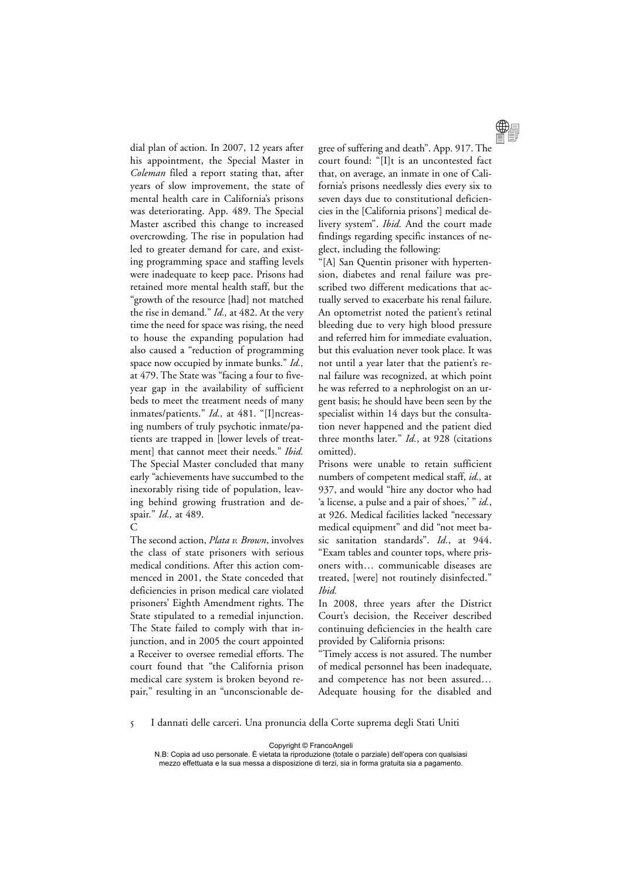dial plan of action. In 2007, 12 years after his appointment, the Special Master in *Coleman* filed a report stating that, after years of slow improvement, the state of mental health care in California's prisons was deteriorating. App. 489. The Special Master ascribed this change to increased overcrowding. The rise in population had led to greater demand for care, and existing programming space and staffing levels were inadequate to keep pace. Prisons had retained more mental health staff, but the "growth of the resource [had] not matched the rise in demand." *Id.,* at 482. At the very time the need for space was rising, the need to house the expanding population had also caused a "reduction of programming space now occupied by inmate bunks." *Id.,* at 479. The State was "facing a four to fiveyear gap in the availability of sufficient beds to meet the treatment needs of many inmates/patients." *Id.,* at 481. "[I]ncreasing numbers of truly psychotic inmate/patients are trapped in [lower levels of treatment] that cannot meet their needs." *Ibid.* The Special Master concluded that many early "achievements have succumbed to the inexorably rising tide of population, leaving behind growing frustration and despair." *Id.,* at 489.

## $\mathcal{C}$

The second action, *Plata v. Brown*, involves the class of state prisoners with serious medical conditions. After this action commenced in 2001, the State conceded that deficiencies in prison medical care violated prisoners' Eighth Amendment rights. The State stipulated to a remedial injunction. The State failed to comply with that injunction, and in 2005 the court appointed a Receiver to oversee remedial efforts. The court found that "the California prison medical care system is broken beyond repair," resulting in an "unconscionable de-



gree of suffering and death". App. 917. The court found: "[I]t is an uncontested fact that, on average, an inmate in one of California's prisons needlessly dies every six to seven days due to constitutional deficiencies in the [California prisons'] medical delivery system". *Ibid.* And the court made findings regarding specific instances of neglect, including the following:

"[A] San Quentin prisoner with hypertension, diabetes and renal failure was prescribed two different medications that actually served to exacerbate his renal failure. An optometrist noted the patient's retinal bleeding due to very high blood pressure and referred him for immediate evaluation, but this evaluation never took place. It was not until a year later that the patient's renal failure was recognized, at which point he was referred to a nephrologist on an urgent basis; he should have been seen by the specialist within 14 days but the consultation never happened and the patient died three months later." *Id.*, at 928 (citations omitted).

Prisons were unable to retain sufficient numbers of competent medical staff, *id.,* at 937, and would "hire any doctor who had 'a license, a pulse and a pair of shoes,' " *id.*, at 926. Medical facilities lacked "necessary medical equipment" and did "not meet basic sanitation standards". *Id.*, at 944. "Exam tables and counter tops, where prisoners with… communicable diseases are treated, [were] not routinely disinfected." *Ibid.* 

In 2008, three years after the District Court's decision, the Receiver described continuing deficiencies in the health care provided by California prisons:

"Timely access is not assured. The number of medical personnel has been inadequate, and competence has not been assured… Adequate housing for the disabled and

5 I dannati delle carceri. Una pronuncia della Corte suprema degli Stati Uniti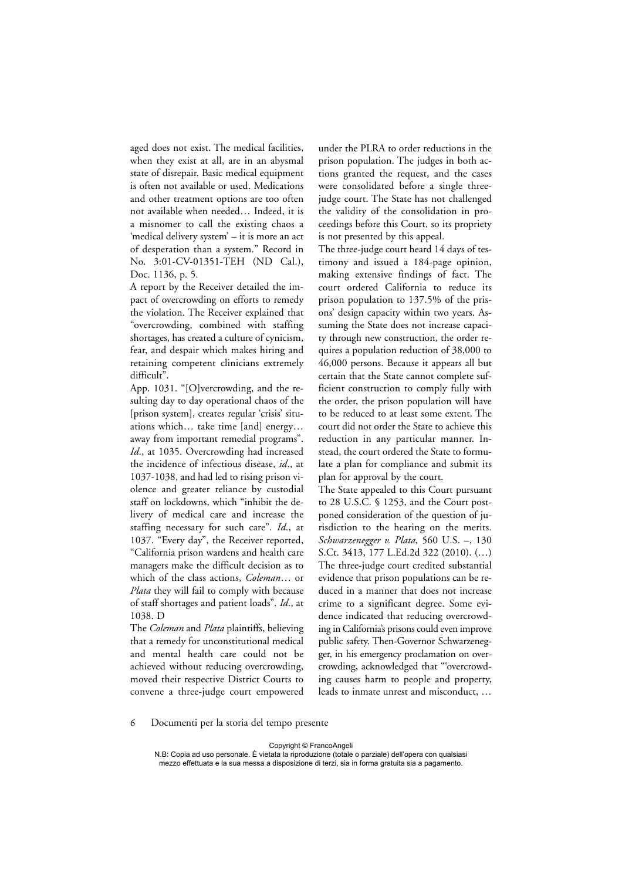aged does not exist. The medical facilities, when they exist at all, are in an abysmal state of disrepair. Basic medical equipment is often not available or used. Medications and other treatment options are too often not available when needed… Indeed, it is a misnomer to call the existing chaos a 'medical delivery system' – it is more an act of desperation than a system." Record in No. 3:01-CV-01351-TEH (ND Cal.), Doc. 1136, p. 5.

A report by the Receiver detailed the impact of overcrowding on efforts to remedy the violation. The Receiver explained that "overcrowding, combined with staffing shortages, has created a culture of cynicism, fear, and despair which makes hiring and retaining competent clinicians extremely difficult".

App. 1031. "[O]vercrowding, and the resulting day to day operational chaos of the [prison system], creates regular 'crisis' situations which… take time [and] energy… away from important remedial programs". *Id*., at 1035. Overcrowding had increased the incidence of infectious disease, *id*., at 1037-1038, and had led to rising prison violence and greater reliance by custodial staff on lockdowns, which "inhibit the delivery of medical care and increase the staffing necessary for such care". *Id*., at 1037. "Every day", the Receiver reported, "California prison wardens and health care managers make the difficult decision as to which of the class actions, *Coleman*… or *Plata* they will fail to comply with because of staff shortages and patient loads". *Id*., at 1038. D

The *Coleman* and *Plata* plaintiffs, believing that a remedy for unconstitutional medical and mental health care could not be achieved without reducing overcrowding, moved their respective District Courts to convene a three-judge court empowered under the PLRA to order reductions in the prison population. The judges in both actions granted the request, and the cases were consolidated before a single threejudge court. The State has not challenged the validity of the consolidation in proceedings before this Court, so its propriety is not presented by this appeal.

The three-judge court heard 14 days of testimony and issued a 184-page opinion, making extensive findings of fact. The court ordered California to reduce its prison population to 137.5% of the prisons' design capacity within two years. Assuming the State does not increase capacity through new construction, the order requires a population reduction of 38,000 to 46,000 persons. Because it appears all but certain that the State cannot complete sufficient construction to comply fully with the order, the prison population will have to be reduced to at least some extent. The court did not order the State to achieve this reduction in any particular manner. Instead, the court ordered the State to formulate a plan for compliance and submit its plan for approval by the court.

The State appealed to this Court pursuant to 28 U.S.C. § 1253, and the Court postponed consideration of the question of jurisdiction to the hearing on the merits. *Schwarzenegger v. Plata,* 560 U.S. –, 130 S.Ct. 3413, 177 L.Ed.2d 322 (2010). (…) The three-judge court credited substantial evidence that prison populations can be reduced in a manner that does not increase crime to a significant degree. Some evidence indicated that reducing overcrowding in California's prisons could even improve public safety. Then-Governor Schwarzenegger, in his emergency proclamation on overcrowding, acknowledged that "'overcrowding causes harm to people and property, leads to inmate unrest and misconduct, …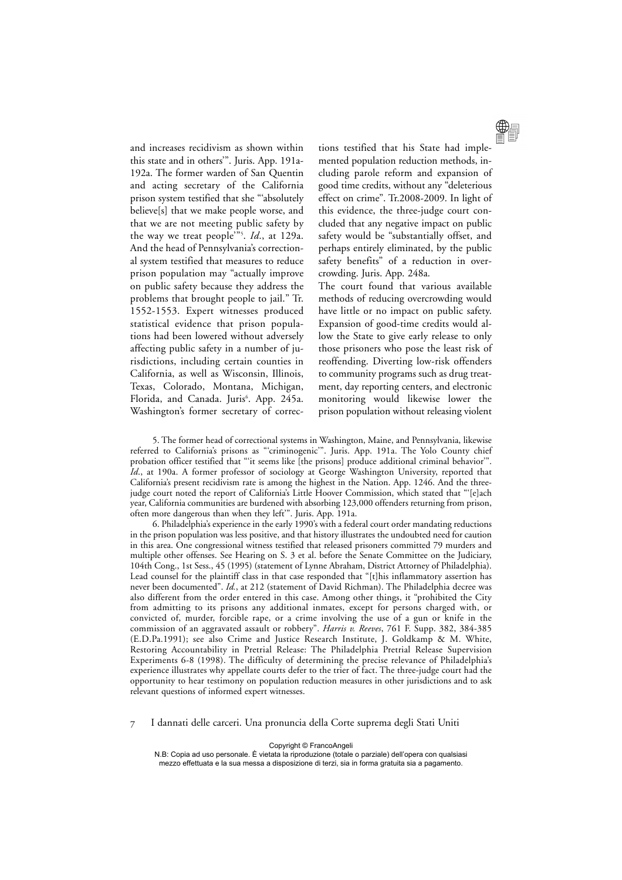and increases recidivism as shown within this state and in others'". Juris. App. 191a-192a. The former warden of San Quentin and acting secretary of the California prison system testified that she "'absolutely believe[s] that we make people worse, and that we are not meeting public safety by the way we treat people'"5 . *Id*., at 129a. And the head of Pennsylvania's correctional system testified that measures to reduce prison population may "actually improve on public safety because they address the problems that brought people to jail." Tr. 1552-1553. Expert witnesses produced statistical evidence that prison populations had been lowered without adversely affecting public safety in a number of jurisdictions, including certain counties in California, as well as Wisconsin, Illinois, Texas, Colorado, Montana, Michigan, Florida, and Canada. Juris<sup>6</sup>. App. 245a. Washington's former secretary of correc-



tions testified that his State had implemented population reduction methods, including parole reform and expansion of good time credits, without any "deleterious effect on crime". Tr.2008-2009. In light of this evidence, the three-judge court concluded that any negative impact on public safety would be "substantially offset, and perhaps entirely eliminated, by the public safety benefits" of a reduction in overcrowding. Juris. App. 248a.

The court found that various available methods of reducing overcrowding would have little or no impact on public safety. Expansion of good-time credits would allow the State to give early release to only those prisoners who pose the least risk of reoffending. Diverting low-risk offenders to community programs such as drug treatment, day reporting centers, and electronic monitoring would likewise lower the prison population without releasing violent

5. The former head of correctional systems in Washington, Maine, and Pennsylvania, likewise referred to California's prisons as "'criminogenic'". Juris. App. 191a. The Yolo County chief probation officer testified that "'it seems like [the prisons] produce additional criminal behavior'". *Id*., at 190a. A former professor of sociology at George Washington University, reported that California's present recidivism rate is among the highest in the Nation. App. 1246. And the threejudge court noted the report of California's Little Hoover Commission, which stated that "'[e]ach year, California communities are burdened with absorbing 123,000 offenders returning from prison, often more dangerous than when they left'". Juris. App. 191a.

6. Philadelphia's experience in the early 1990's with a federal court order mandating reductions in the prison population was less positive, and that history illustrates the undoubted need for caution in this area. One congressional witness testified that released prisoners committed 79 murders and multiple other offenses. See Hearing on S. 3 et al. before the Senate Committee on the Judiciary, 104th Cong., 1st Sess., 45 (1995) (statement of Lynne Abraham, District Attorney of Philadelphia). Lead counsel for the plaintiff class in that case responded that "[t]his inflammatory assertion has never been documented". *Id.*, at 212 (statement of David Richman). The Philadelphia decree was also different from the order entered in this case. Among other things, it "prohibited the City from admitting to its prisons any additional inmates, except for persons charged with, or convicted of, murder, forcible rape, or a crime involving the use of a gun or knife in the commission of an aggravated assault or robbery". *Harris v. Reeves*, 761 F. Supp. 382, 384-385 (E.D.Pa.1991); see also Crime and Justice Research Institute, J. Goldkamp & M. White, Restoring Accountability in Pretrial Release: The Philadelphia Pretrial Release Supervision Experiments 6-8 (1998). The difficulty of determining the precise relevance of Philadelphia's experience illustrates why appellate courts defer to the trier of fact. The three-judge court had the opportunity to hear testimony on population reduction measures in other jurisdictions and to ask relevant questions of informed expert witnesses.

7 I dannati delle carceri. Una pronuncia della Corte suprema degli Stati Uniti